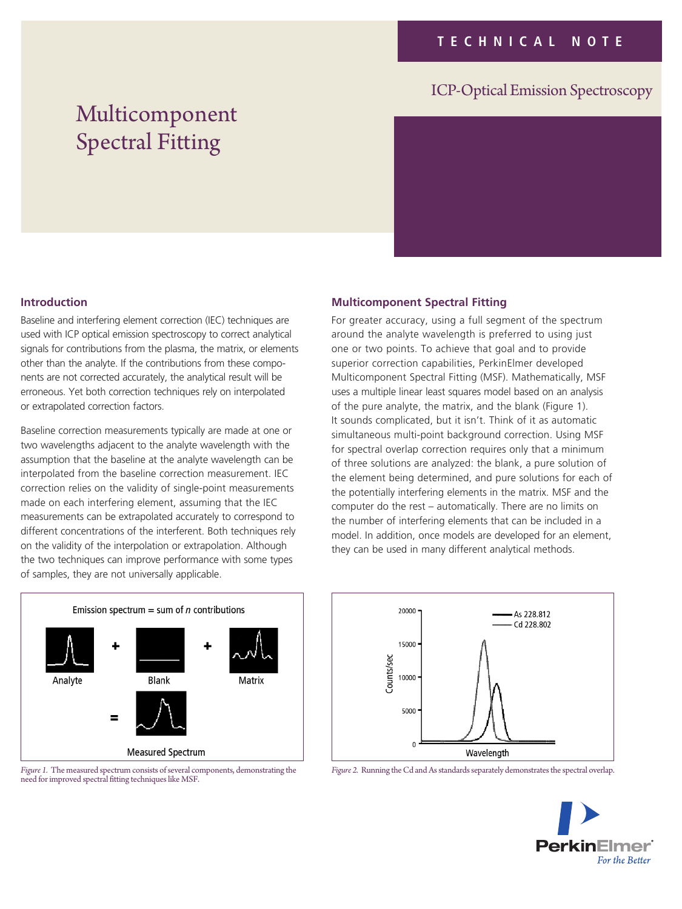## ICP-Optical Emission Spectroscopy

# Multicomponent Spectral Fitting



#### **Introduction**

Baseline and interfering element correction (IEC) techniques are used with ICP optical emission spectroscopy to correct analytical signals for contributions from the plasma, the matrix, or elements other than the analyte. If the contributions from these components are not corrected accurately, the analytical result will be erroneous. Yet both correction techniques rely on interpolated or extrapolated correction factors.

Baseline correction measurements typically are made at one or two wavelengths adjacent to the analyte wavelength with the assumption that the baseline at the analyte wavelength can be interpolated from the baseline correction measurement. IEC correction relies on the validity of single-point measurements made on each interfering element, assuming that the IEC measurements can be extrapolated accurately to correspond to different concentrations of the interferent. Both techniques rely on the validity of the interpolation or extrapolation. Although the two techniques can improve performance with some types of samples, they are not universally applicable.

#### **Multicomponent Spectral Fitting**

For greater accuracy, using a full segment of the spectrum around the analyte wavelength is preferred to using just one or two points. To achieve that goal and to provide superior correction capabilities, PerkinElmer developed Multicomponent Spectral Fitting (MSF). Mathematically, MSF uses a multiple linear least squares model based on an analysis of the pure analyte, the matrix, and the blank (Figure 1). It sounds complicated, but it isn't. Think of it as automatic simultaneous multi-point background correction. Using MSF for spectral overlap correction requires only that a minimum of three solutions are analyzed: the blank, a pure solution of the element being determined, and pure solutions for each of the potentially interfering elements in the matrix. MSF and the computer do the rest – automatically. There are no limits on the number of interfering elements that can be included in a model. In addition, once models are developed for an element, they can be used in many different analytical methods.







*Figure 2.* Running the Cd and As standards separately demonstrates the spectral overlap.